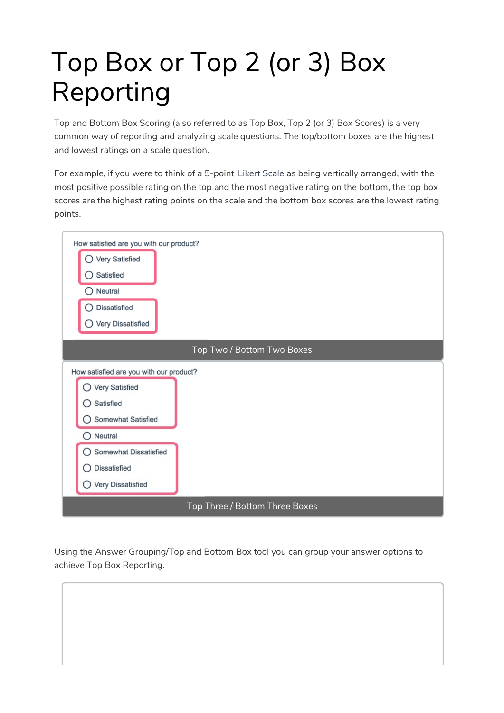# Top Box or Top 2 (or 3) Box Reporting

Top and Bottom Box Scoring (also referred to as Top Box, Top 2 (or 3) Box Scores) is a very common way of reporting and analyzing scale questions. The top/bottom boxes are the highest and lowest ratings on a scale question.

For example, if you were to think of a 5-point Likert Scale as being vertically arranged, with the most positive possible rating on the top and the most negative rating on the bottom, the top box scores are the highest rating points on the scale and the bottom box scores are the lowest rating points.



Using the Answer Grouping/Top and Bottom Box tool you can group your answer options to achieve Top Box Reporting.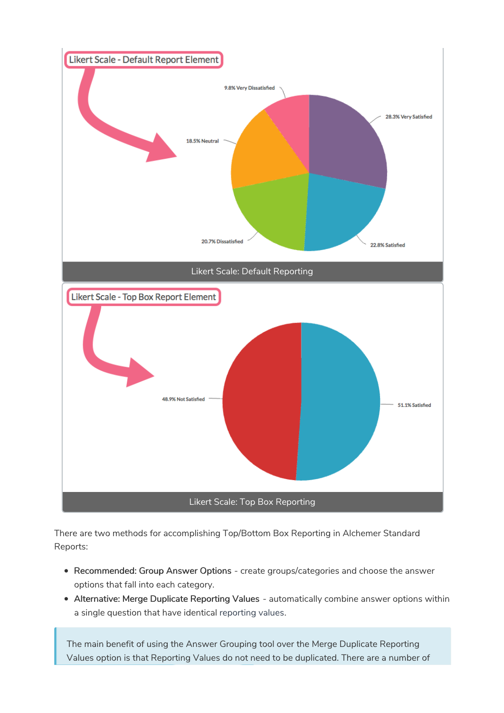

There are two methods for accomplishing Top/Bottom Box Reporting in Alchemer Standard Reports:

- Recommended: Group Answer Options create groups/categories and choose the answer options that fall into each category.
- Alternative: Merge Duplicate Reporting Values automatically combine answer options within a single question that have identical reporting values.

The main benefit of using the Answer Grouping tool over the Merge Duplicate Reporting Values option is that Reporting Values do not need to be duplicated. There are a number of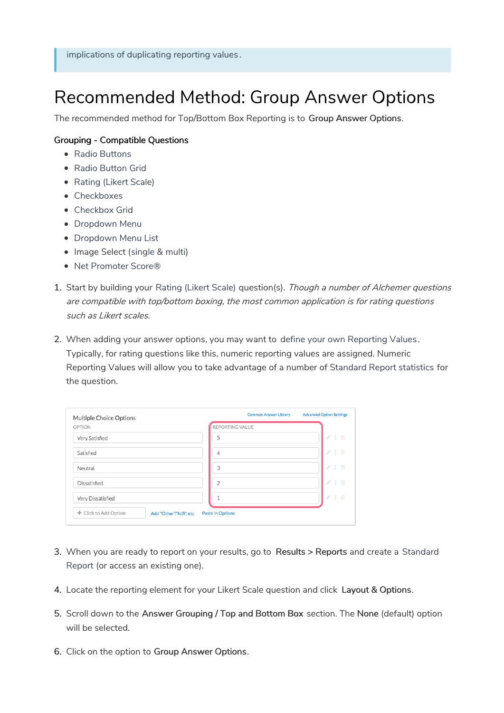## Recommended Method: Group Answer Options

The recommended method for Top/Bottom Box Reporting is to Group Answer Options.

#### Grouping - Compatible Questions

- Radio Buttons
- Radio Button Grid
- Rating (Likert Scale)
- Checkboxes
- Checkbox Grid
- Dropdown Menu
- Dropdown Menu List
- Image Select (single & multi)
- Net Promoter Score®
- 1. Start by building your Rating (Likert Scale) question(s). Though a number of Alchemer questions are compatible with top/bottom boxing, the most common application is for rating questions such as Likert scales.
- 2. When adding your answer options, you may want to define your own Reporting Values. Typically, for rating questions like this, numeric reporting values are assigned. Numeric Reporting Values will allow you to take advantage of a number of Standard Report statistics for the question.

| Multiple Choice Options |                        | <b>Common Answer Library</b> | <b>Advanced Option Settings</b> |
|-------------------------|------------------------|------------------------------|---------------------------------|
| <b>OPTION</b>           |                        | REPORTING VALUE              |                                 |
| Very Satisfied          |                        | 5                            | 1 面<br>P                        |
| Satisfied               |                        | 4                            | 1 面<br>P.                       |
| Neutral                 |                        | 3                            | 1 面<br>P                        |
| Dissatisfied            |                        | $\overline{2}$               | 1 回<br>P.                       |
| Very Dissatisfied       |                        |                              | 1 回<br>P                        |
| + Click to Add Option   | Add "Other","N/A", etc | <b>Paste in Options</b>      |                                 |
|                         |                        |                              |                                 |

- 3. When you are ready to report on your results, go to Results > Reports and create a Standard Report (or access an existing one).
- 4. Locate the reporting element for your Likert Scale question and click Layout & Options.
- 5. Scroll down to the Answer Grouping / Top and Bottom Box section. The None (default) option will be selected.
- 6. Click on the option to Group Answer Options.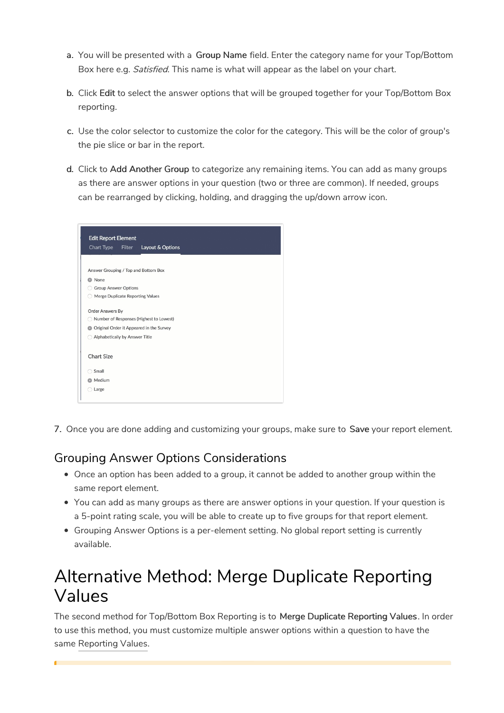- a. You will be presented with a Group Name field. Enter the category name for your Top/Bottom Box here e.g. Satisfied. This name is what will appear as the label on your chart.
- b. Click Edit to select the answer options that will be grouped together for your Top/Bottom Box reporting.
- c. Use the color selector to customize the color for the category. This will be the color of group's the pie slice or bar in the report.
- d. Click to Add Another Group to categorize any remaining items. You can add as many groups as there are answer options in your question (two or three are common). If needed, groups can be rearranged by clicking, holding, and dragging the up/down arrow icon.

| <b>Chart Type</b>                     | Filter | Layout & Options                           |  |
|---------------------------------------|--------|--------------------------------------------|--|
| Answer Grouping / Top and Bottom Box  |        |                                            |  |
| C None                                |        |                                            |  |
| <b>Group Answer Options</b>           |        |                                            |  |
| Merge Duplicate Reporting Values<br>0 |        |                                            |  |
| <b>Order Answers By</b>               |        |                                            |  |
|                                       |        | Number of Responses (Highest to Lowest)    |  |
|                                       |        | O Original Order it Appeared in the Survey |  |
| Alphabetically by Answer Title        |        |                                            |  |
| <b>Chart Size</b>                     |        |                                            |  |
| Small                                 |        |                                            |  |
| <b>O</b> Medium                       |        |                                            |  |

7. Once you are done adding and customizing your groups, make sure to Save your report element.

### Grouping Answer Options Considerations

- Once an option has been added to a group, it cannot be added to another group within the same report element.
- You can add as many groups as there are answer options in your question. If your question is a 5-point rating scale, you will be able to create up to five groups for that report element.
- Grouping Answer Options is a per-element setting. No global report setting is currently available.

## Alternative Method: Merge Duplicate Reporting Values

The second method for Top/Bottom Box Reporting is to Merge Duplicate Reporting Values. In order to use this method, you must customize multiple answer options within a question to have the same Reporting Values.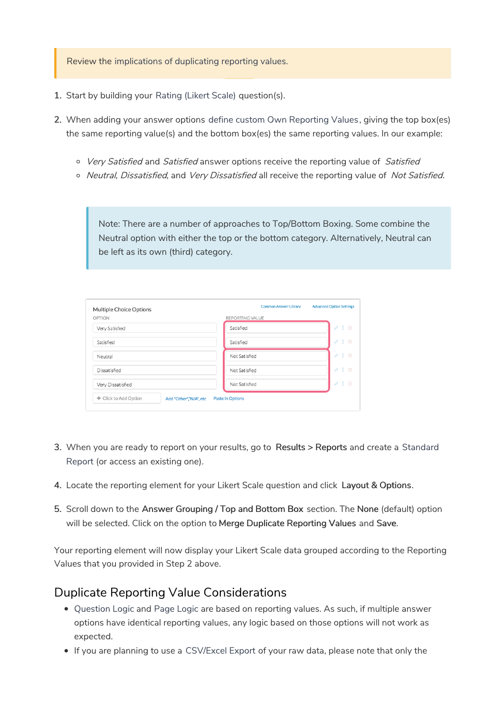Review the implications of duplicating reporting values.

- 1. Start by building your Rating (Likert Scale) question(s).
- 2. When adding your answer options define custom Own Reporting Values, giving the top box(es) the same reporting value(s) and the bottom box(es) the same reporting values. In our example:
	- o Very Satisfied and Satisfied answer options receive the reporting value of Satisfied
	- o Neutral, Dissatisfied, and Very Dissatisfied all receive the reporting value of Not Satisfied.

Note: There are a number of approaches to Top/Bottom Boxing. Some combine the Neutral option with either the top or the bottom category. Alternatively, Neutral can be left as its own (third) category.

| Multiple Choice Options                         | <b>Common Answer Library</b><br><b>Advanced Option Settings</b> |
|-------------------------------------------------|-----------------------------------------------------------------|
| OPTION                                          | REPORTING VALUE                                                 |
| Very Satisfied                                  | 1 面<br>$\mathcal{L}$<br>Satisfied                               |
| Satisfied                                       | 1 面<br>$\mathcal{L}$<br>Satisfied                               |
| Neutral                                         | 1 画<br>$\mathcal{L}$<br>Not Satisfied                           |
| Dissatisfied                                    | 1 面<br>$\mathcal{L}^{\mathcal{P}}$<br>Not Satisfied             |
| Very Dissatisfied                               | 1 面<br>$\mathcal{L}$<br>Not Satisfied                           |
| + Click to Add Option<br>Add "Other","N/A", etc | <b>Paste in Options</b>                                         |

- 3. When you are ready to report on your results, go to Results > Reports and create a Standard Report (or access an existing one).
- 4. Locate the reporting element for your Likert Scale question and click Layout & Options.
- 5. Scroll down to the Answer Grouping / Top and Bottom Box section. The None (default) option will be selected. Click on the option to Merge Duplicate Reporting Values and Save.

Your reporting element will now display your Likert Scale data grouped according to the Reporting Values that you provided in Step 2 above.

#### Duplicate Reporting Value Considerations

- Question Logic and Page Logic are based on reporting values. As such, if multiple answer options have identical reporting values, any logic based on those options will not work as expected.
- If you are planning to use a CSV/Excel Export of your raw data, please note that only the